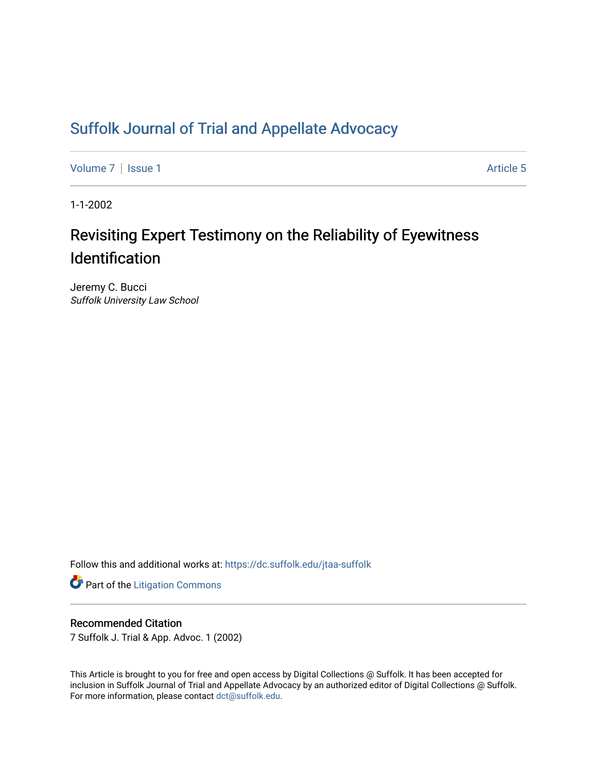# [Suffolk Journal of Trial and Appellate Advocacy](https://dc.suffolk.edu/jtaa-suffolk)

[Volume 7](https://dc.suffolk.edu/jtaa-suffolk/vol7) | [Issue 1](https://dc.suffolk.edu/jtaa-suffolk/vol7/iss1) Article 5

1-1-2002

# Revisiting Expert Testimony on the Reliability of Eyewitness Identification

Jeremy C. Bucci Suffolk University Law School

Follow this and additional works at: [https://dc.suffolk.edu/jtaa-suffolk](https://dc.suffolk.edu/jtaa-suffolk?utm_source=dc.suffolk.edu%2Fjtaa-suffolk%2Fvol7%2Fiss1%2F5&utm_medium=PDF&utm_campaign=PDFCoverPages) 

**Part of the [Litigation Commons](https://network.bepress.com/hgg/discipline/910?utm_source=dc.suffolk.edu%2Fjtaa-suffolk%2Fvol7%2Fiss1%2F5&utm_medium=PDF&utm_campaign=PDFCoverPages)** 

# Recommended Citation

7 Suffolk J. Trial & App. Advoc. 1 (2002)

This Article is brought to you for free and open access by Digital Collections @ Suffolk. It has been accepted for inclusion in Suffolk Journal of Trial and Appellate Advocacy by an authorized editor of Digital Collections @ Suffolk. For more information, please contact [dct@suffolk.edu](mailto:dct@suffolk.edu).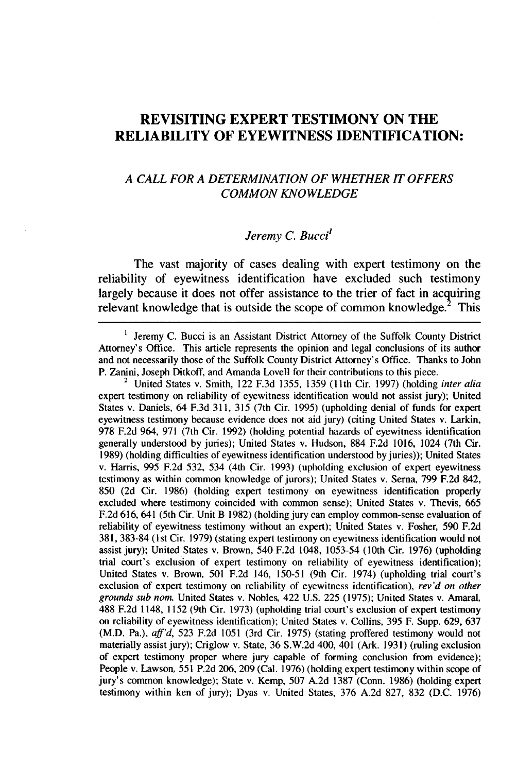# **REVISITING EXPERT TESTIMONY ON THE RELIABILITY OF EYEWITNESS IDENTIFICATION:**

### *A CALL FOR A DETERMINATION OF WHETHER IT OFFERS COMMON KNOWLEDGE*

# *Jeremy C. Bucci'*

The vast majority of cases dealing with expert testimony on the reliability of eyewitness identification have excluded such testimony largely because it does not offer assistance to the trier of fact in acquiring relevant knowledge that is outside the scope of common knowledge. $2$  This

 $\pmb{\mathsf{l}}$ Jeremy **C.** Bucci is an Assistant District Attorney of the Suffolk County District Attorney's Office. This article represents the opinion and legal conclusions of its author and not necessarily those of the Suffolk County District Attorney's Office. Thanks to John P. Zanini, Joseph Ditkoff, and Amanda Lovell for their contributions to this piece.

<sup>2</sup>United States v. Smith, 122 **F.3d 1355, 1359 (11th** Cir. **1997)** (holding *inter alia* expert testimony on reliability of eyewitness identification would not assist jury); United States v. Daniels, 64 **F.3d 311, 315** (7th Cir. **1995)** (upholding denial of funds for expert eyewitness testimony because evidence does not aid jury) (citing United States v. Larkin, **978 F.2d** 964, **971** (7th Cir. **1992)** (holding potential hazards of eyewitness identification generally understood **by** juries); United States v. Hudson, **884 F.2d 1016,** 1024 (7th Cir. **1989)** (holding difficulties of eyewitness identification understood by juries)); United States v. Harris, **995 F.2d 532,** 534 (4th Cir. **1993)** (upholding exclusion of expert eyewitness testimony as within common knowledge of jurors); United States v. Serna, **799 F.2d** 842, **850 (2d** Cir. **1986)** (holding expert testimony on eyewitness identification properly excluded where testimony coincided with common sense); United States v. Thevis, **665 F.2d 616,** 641 (5th Cir. Unit B **1982)** (holding jury can employ common-sense evaluation of reliability of eyewitness testimony without an expert); United States v. Fosher, **590 F.2d 381, 383-84** (1st Cir. **1979)** (stating expert testimony on eyewitness identification would not assist jury); United States v. Brown, 540 **F.2d** 1048, **1053-54** (10th Cir. **1976)** (upholding trial court's exclusion of expert testimony on reliability of eyewitness identification); United States v. Brown, **501 F.2d** 146, **150-51** (9th Cir. 1974) (upholding trial court's exclusion of expert testimony on reliability of eyewitness identification), *rev'd on other grounds sub nonL* United States v. Nobles, 422 **U.S. 225 (1975);** United States v. Amaral, **488 F.2d** 1148, **1152** (9th Cir. **1973)** (upholding trial court's exclusion of expert testimony on reliability of eyewitness identification); United States v. Collins, **395** F. Supp. **629, 637** (M.D. Pa.), *aff'd,* **523 F.2d 1051** (3rd Cir. **1975)** (stating proffered testimony would not materially assist jury); Criglow v. State, **36** S.W.2d 400, 401 (Ark. **1931)** (ruling exclusion of expert testimony proper where jury capable of forming conclusion from evidence); People v. Lawson, **551 P.2d 206, 209** (Cal. **1976)** (holding expert testimony within scope of jury's common knowledge); State v. Kemp, **507 A.2d 1387** (Conn. **1986)** (holding expert testimony within ken of jury); Dyas v. United States, **376 A.2d 827, 832 (D.C. 1976)**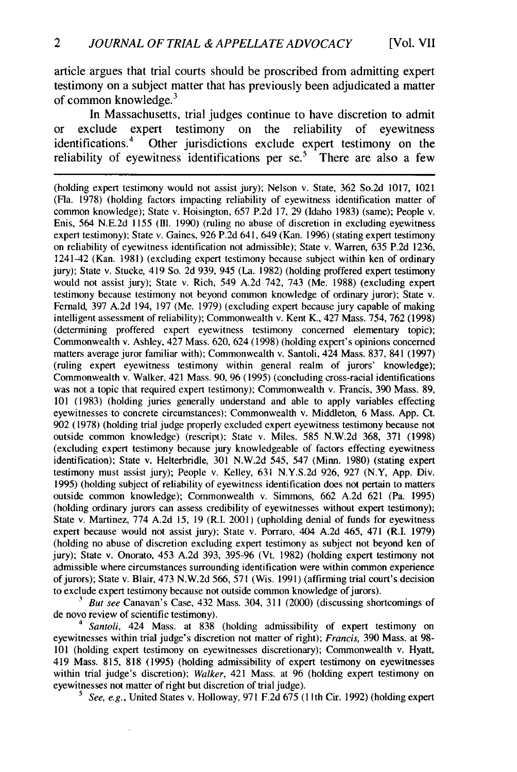article argues that trial courts should be proscribed from admitting expert testimony on a subject matter that has previously been adjudicated a matter of common knowledge. $3$ 

In Massachusetts, trial judges continue to have discretion to admit or exclude expert testimony on the reliability of eyewitness identifications.4 Other jurisdictions exclude expert testimony on the reliability of eyewitness identifications per se.<sup>5</sup> There are also a few

(holding expert testimony would not assist jury); Nelson v. State, 362 So.2d 1017, 1021 (Fla. 1978) (holding factors impacting reliability of eyewitness identification matter of common knowledge); State v. Hoisington, 657 P.2d 17, 29 (Idaho 1983) (same); People v. Enis, 564 N.E.2d 1155 **(Ill.** 1990) (ruling no abuse of discretion in excluding eyewitness expert testimony); State v. Gaines, 926 P.2d 641, 649 (Kan. 1996) (stating expert testimony on reliability of eyewitness identification not admissible); State v. Warren, 635 P.2d 1236, 1241-42 (Kan. 1981) (excluding expert testimony because subject within ken of ordinary jury); State v. Stucke, 419 So. 2d 939, 945 (La. 1982) (holding proffered expert testimony would not assist jury); State v. Rich, 549 A.2d 742, 743 (Me. 1988) (excluding expert testimony because testimony not beyond common knowledge of ordinary juror); State v. Fernald, 397 A.2d 194, 197 (Me. 1979) (excluding expert because jury capable of making intelligent assessment of reliability); Commonwealth v. Kent K., 427 Mass. 754, 762 (1998) (determining proffered expert eyewitness testimony concerned elementary topic); Commonwealth v. Ashley, 427 Mass. 620, 624 (1998) (holding expert's opinions concerned matters average juror familiar with); Commonwealth v. Santoli, 424 Mass. 837, 841 (1997) (ruling expert eyewitness testimony within general realm of jurors' knowledge); Commonwealth v. Walker, 421 Mass. 90, 96 (1995) (concluding cross-racial identifications was not a topic that required expert testimony); Commonwealth v. Francis, 390 Mass. 89, 101 (1983) (holding juries generally understand and able to apply variables effecting eyewitnesses to concrete circumstances): Commonwealth v. Middleton, 6 Mass. App. Ct. 902 (1978) (holding trial judge properly excluded expert eyewitness testimony because not outside common knowledge) (rescript); State v. Miles, 585 N.W.2d 368, 371 (1998) (excluding expert testimony because jury knowledgeable of factors effecting eyewitness identification); State v. Helterbridle, 301 N.W.2d 545, 547 (Minn. 1980) (stating expert testimony must assist jury); People v. Kelley, 631 N.Y.S.2d 926, 927 (N.Y, App. Div. 1995) (holding subject of reliability of eyewitness identification does not pertain to matters outside common knowledge); Commonwealth v. Simmons, 662 A.2d 621 (Pa. 1995) (holding ordinary jurors can assess credibility of eyewitnesses without expert testimony); State v. Martinez, 774 A.2d 15, 19 (R.I. 2001) (upholding denial of funds for eyewitness expert because would not assist jury); State v. Porraro, 404 A.2d 465, 471 (R.I. 1979) (holding no abuse of discretion excluding expert testimony as subject not beyond ken of jury); State v. Onorato, 453 A.2d 393, 395-96 (Vt. 1982) (holding expert testimony not admissible where circumstances surrounding identification were within common experience of jurors); State v. Blair, 473 N.W.2d 566, 571 (Wis. 1991) (affirming trial court's decision to exclude expert testimony because not outside common knowledge of jurors).

<sup>3</sup> But see Canavan's Case, 432 Mass. 304, 311 (2000) (discussing shortcomings of de novo review of scientific testimony).

*4 Santoli,* 424 Mass. at 838 (holding admissibility of expert testimony on eyewitnesses within trial judge's discretion not matter of right); *Francis,* 390 Mass. at 98- 101 (holding expert testimony on eyewitnesses discretionary); Commonwealth v. Hyatt, 419 Mass. 815, 818 (1995) (holding admissibility of expert testimony on eyewitnesses within trial judge's discretion); *Walker,* 421 Mass. at 96 (holding expert testimony on eyewitnesses not matter of right but discretion of trial judge).

<sup>5</sup> See, e.g., United States v. Holloway, 971 F.2d 675 (11th Cir. 1992) (holding expert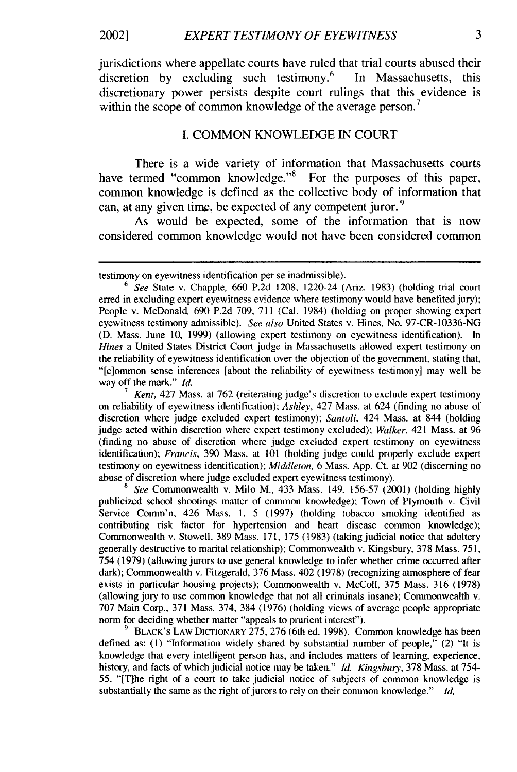jurisdictions where appellate courts have ruled that trial courts abused their discretion by excluding such testimony.<sup>6</sup> In Massachusetts, this discretionary power persists despite court rulings that this evidence is within the scope of common knowledge of the average person.<sup>7</sup>

#### I. COMMON KNOWLEDGE IN **COURT**

There is a wide variety of information that Massachusetts courts have termed "common knowledge."<sup>8</sup> For the purposes of this paper, common knowledge is defined as the collective body of information that can, at any given time, be expected of any competent juror. **9**

As would be expected, some of the information that is now considered common knowledge would not have been considered common

**<sup>7</sup>***Kent,* 427 Mass. at 762 (reiterating judge's discretion to exclude expert testimony on reliability of eyewitness identification); *Ashley,* 427 Mass. at 624 (finding no abuse of discretion where judge excluded expert testimony); *Santoli,* 424 Mass. at 844 (holding judge acted within discretion where expert testimony excluded); *Walker,* 421 Mass. at 96 (finding no abuse of discretion where judge excluded expert testimony on eyewitness identification); *Francis,* 390 Mass. at 101 (holding judge could properly exclude expert testimony on eyewitness identification); *Middleton,* 6 Mass. App. Ct. at 902 (discerning no abuse of discretion where judge excluded expert eyewitness testimony).

**<sup>8</sup>***See* Commonwealth v. Milo M., 433 Mass. 149. 156-57 (2001) (holding highly publicized school shootings matter of common knowledge); Town of Plymouth v. Civil Service Comm'n, 426 Mass. 1, 5 (1997) (holding tobacco smoking identified as contributing risk factor for hypertension and heart disease common knowledge); Commonwealth v. Stowell, 389 Mass. 171, 175 (1983) (taking judicial notice that adultery generally destructive to marital relationship); Commonwealth v. Kingsbury, 378 Mass. 751, 754 (1979) (allowing jurors to use general knowledge to infer whether crime occurred after dark); Commonwealth v. Fitzgerald, 376 Mass. 402 (1978) (recognizing atmosphere of fear exists in particular housing projects); Commonwealth v. McColl, 375 Mass. 316 (1978) (allowing jury to use common knowledge that not all criminals insane); Commonwealth v. 707 Main Corp., 371 Mass. 374, 384 (1976) (holding views of average people appropriate norm for deciding whether matter "appeals to prurient interest").

BLACK'S LAW DICTIONARY 275, 276 (6th ed. 1998). Common knowledge has been defined as: (1) "Information widely shared by substantial number of people," (2) "It is knowledge that every intelligent person has, and includes matters of learning, experience, history, and facts of which judicial notice may be taken." *Id. Kingsbury,* 378 Mass. at 754- 55. "[Tlhe right of a court to take judicial notice of subjects of common knowledge is substantially the same as the right of jurors to rely on their common knowledge." *Id.*

 $\overline{\mathbf{3}}$ 

testimony on eyewitness identification per se inadmissible).

<sup>6</sup> *See* State v. Chapple, 660 P.2d 1208, 1220-24 (Ariz. 1983) (holding trial court erred in excluding expert eyewitness evidence where testimony would have benefited jury); People v. McDonald, 690 P.2d 709, 711 (Cal. 1984) (holding on proper showing expert eyewitness testimony admissible). *See also* United States v. Hines, No. 97-CR-10336-NG (D. Mass. June 10, 1999) (allowing expert testimony on eyewitness identification). In *Hines* a United States District Court judge in Massachusetts allowed expert testimony on the reliability of eyewitness identification over the objection of the government, stating that, "[clommon sense inferences [about the reliability of eyewitness testimony] may well be way off the mark." *Id.*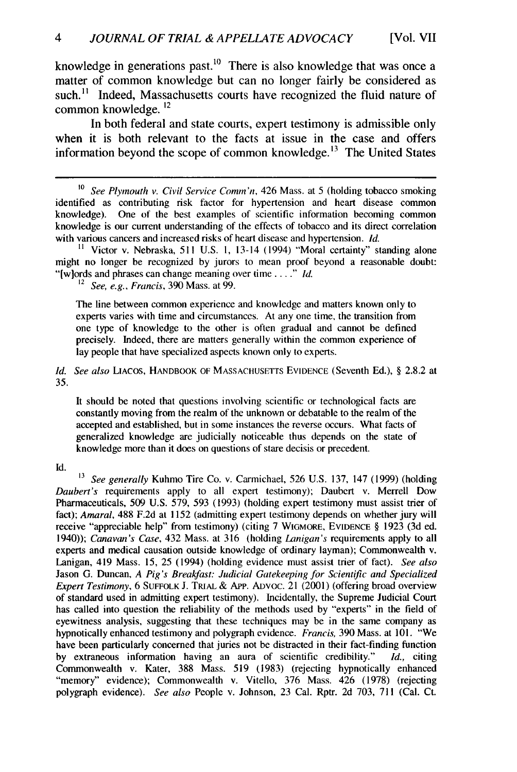knowledge in generations past.<sup>10</sup> There is also knowledge that was once a matter of common knowledge but can no longer fairly be considered as such.<sup>11</sup> Indeed, Massachusetts courts have recognized the fluid nature of common knowledge. **12**

In both federal and state courts, expert testimony is admissible only when it is both relevant to the facts at issue in the case and offers information beyond the scope of common knowledge. **1 <sup>3</sup>**The United States

**11** Victor v. Nebraska, 511 U.S. 1, 13-14 (1994) "Moral certainty" standing alone might no longer be recognized by jurors to mean proof beyond a reasonable doubt: "[w]ords and phrases can change meaning over time...." *Id.* 

<sup>12</sup>*See, e.g., Francis,* 390 Mass. at 99.

The line between common experience and knowledge and matters known only to experts varies with time and circumstances. At any one time, the transition from one type of knowledge to the other is often gradual and cannot be defined precisely. Indeed, there are matters generally within the common experience of lay people that have specialized aspects known only to experts.

*Id. See also* LIACOS, HANDBOOK OF **MASSACHUSETTS** EVIDENCE (Seventh Ed.), § 2.8.2 at 35.

It should be noted that questions involving scientific or technological facts are constantly moving from the realm of the unknown or debatable to the realm of the accepted and established, but in some instances the reverse occurs. What facts of generalized knowledge are judicially noticeable thus depends on the state of knowledge more than it does on questions of stare decisis or precedent.

Id.

*<sup>13</sup>See generally* Kuhmo Tire Co. v. Carmichael, 526 U.S. 137, 147 (1999) (holding *Daubert's* requirements apply to all expert testimony); Daubert v. Merrell Dow Pharmaceuticals, 509 U.S. 579, 593 (1993) (holding expert testimony must assist trier of fact); *Amaral,* 488 F.2d at 1152 (admitting expert testimony depends on whether jury will receive "appreciable help" from testimony) (citing 7 WIGMORE, **EVIDENCE** § 1923 (3d ed. 1940)); *Canavan's Case,* 432 Mass. at 316 (holding *Lanigan's* requirements apply to all experts and medical causation outside knowledge of ordinary layman); Commonwealth v. Lanigan, 419 Mass. 15, 25 (1994) (holding evidence must assist trier of fact). *See also* Jason G. Duncan, *A Pig's Breakfast: Judicial Gatekeeping for Scientific and Specialized Expert Testimony,* 6 **SUFFOLK J.** TRIAL & APp. ADVoC. 21 (2001) (offering broad overview of standard used in admitting expert testimony). Incidentally, the Supreme Judicial Court has called into question the reliability of the methods used by "experts" in the field of eyewitness analysis, suggesting that these techniques may be in the same company as hypnotically enhanced testimony and polygraph evidence. *Francis,* 390 Mass. at 101. "We have been particularly concerned that juries not be distracted in their fact-finding function by extraneous information having an aura of scientific credibility." *Id.,* citing Commonwealth v. Kater, 388 Mass. 519 (1983) (rejecting hypnotically enhanced "memory" evidence); Commonwealth v. Vitello, 376 Mass. 426 (1978) (rejecting polygraph evidence). *See also* People v. Johnson, 23 Cal. Rptr. 2d 703, 711 (Cal. Ct.

*<sup>1</sup>o See Plymouth v. Civil Service Comm'n,* 426 Mass. at 5 (holding tobacco smoking identified as contributing risk factor for hypertension and heart disease common knowledge). One of the best examples of scientific information becoming common knowledge is our current understanding of the effects of tobacco and its direct correlation with various cancers and increased risks of heart disease and hypertension. *Id.*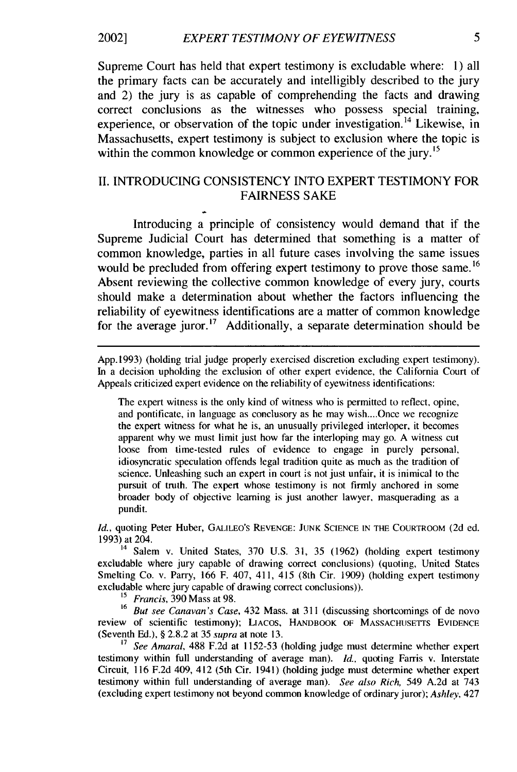#### *EXPERT TESTIMONY OF EYEWITNESS* 2002]

Supreme Court has held that expert testimony is excludable where: l) all the primary facts can be accurately and intelligibly described to the jury and 2) the jury is as capable of comprehending the facts and drawing correct conclusions as the witnesses who possess special training, experience, or observation of the topic under investigation.<sup>14</sup> Likewise, in Massachusetts, expert testimony is subject to exclusion where the topic is within the common knowledge or common experience of the jury. **' 5**

#### II. INTRODUCING CONSISTENCY INTO EXPERT TESTIMONY FOR FAIRNESS SAKE

Introducing a principle of consistency would demand that if the Supreme Judicial Court has determined that something is a matter of common knowledge, parties in all future cases involving the same issues would be precluded from offering expert testimony to prove those same.<sup>16</sup> Absent reviewing the collective common knowledge of every jury, courts should make a determination about whether the factors influencing the reliability of eyewitness identifications are a matter of common knowledge for the average juror.<sup>17</sup> Additionally, a separate determination should be

App. 1993) (holding trial judge properly exercised discretion excluding expert testimony). In a decision upholding the exclusion of other expert evidence, the California Court of Appeals criticized expert evidence on the reliability of eyewitness identifications:

The expert witness is the only kind of witness who is permitted to reflect, opine, and pontificate, in language as conclusory as he may wish....Once we recognize the expert witness for what he is, an unusually privileged interloper, it becomes apparent why we must limit just how far the interloping may go. A witness cut loose from time-tested rules of evidence to engage in purely personal, idiosyncratic speculation offends legal tradition quite as much as the tradition of science. Unleashing such an expert in court is not just unfair, it is inimical to the pursuit of truth. The expert whose testimony is not firmly anchored in some broader body of objective learning is just another lawyer, masquerading as a pundit.

*Id.,* quoting Peter Huber, GALILEO'S REVENGE: JUNK SCIENCE IN **THE** COURTROOM (2d ed. 1993) at 204.

 $14$  Salem v. United States, 370 U.S. 31, 35 (1962) (holding expert testimony excludable where jury capable of drawing correct conclusions) (quoting, United States Smelting Co. v. Parry, 166 F. 407, 411, 415 (8th Cir. 1909) (holding expert testimony excludable where jury capable of drawing correct conclusions)).

*<sup>15</sup>Francis,* 390 Mass at 98.

**<sup>16</sup>***But see Canavan's Case,* 432 Mass. at 311 (discussing shortcomings of de novo review of scientific testimony); LIACOS, HANDBOOK OF MASSACHUSETrs EvIDENCE (Seventh Ed.), § 2.8.2 at 35 *supra* at note 13.

<sup>17</sup> See Amaral, 488 F.2d at 1152-53 (holding judge must determine whether expert testimony within full understanding of average man). *Id.,* quoting Farris v. Interstate Circuit, 116 F.2d 409, 412 (5th Cir. 1941) (holding judge must determine whether expert testimony within full understanding of average man). *See also Rich,* 549 A.2d at 743 (excluding expert testimony not beyond common knowledge of ordinary juror); *Ashley,* 427

5.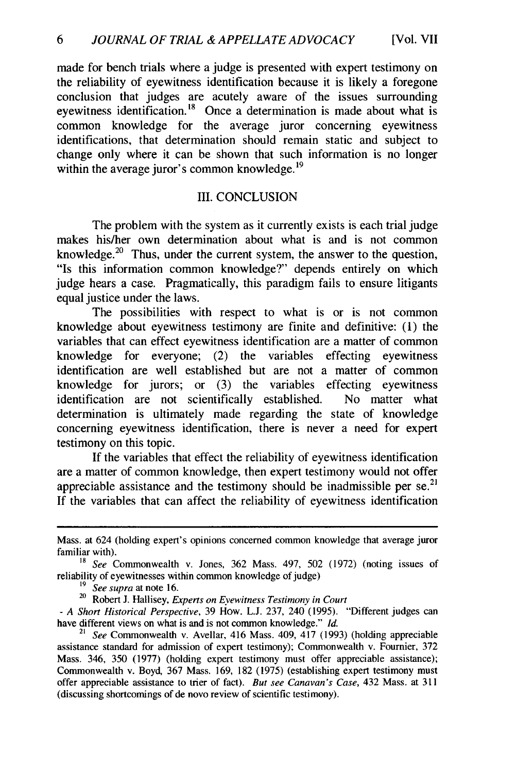made for bench trials where a judge is presented with expert testimony on the reliability of eyewitness identification because it is likely a foregone conclusion that judges are acutely aware of the issues surrounding eyewitness identification.<sup>18</sup> Once a determination is made about what is common knowledge for the average juror concerning eyewitness identifications, that determination should remain static and subject to change only where it can be shown that such information is no longer within the average juror's common knowledge.<sup>19</sup>

#### III. CONCLUSION

The problem with the system as it currently exists is each trial judge makes his/her own determination about what is and is not common knowledge. $20$  Thus, under the current system, the answer to the question, "Is this information common knowledge?" depends entirely on which judge hears a case. Pragmatically, this paradigm fails to ensure litigants equal justice under the laws.

The possibilities with respect to what is or is not common knowledge about eyewitness testimony are finite and definitive: (1) the variables that can effect eyewitness identification are a matter of common knowledge for everyone; (2) the variables effecting eyewitness identification are well established but are not a matter of common knowledge for jurors; or (3) the variables effecting eyewitness identification are not scientifically established. No matter what determination is ultimately made regarding the state of knowledge concerning eyewitness identification, there is never a need for expert testimony on this topic.

If the variables that effect the reliability of eyewitness identification are a matter of common knowledge, then expert testimony would not offer appreciable assistance and the testimony should be inadmissible per se.<sup>21</sup> If the variables that can affect the reliability of eyewitness identification

Mass. at 624 (holding expert's opinions concerned common knowledge that average juror familiar with).

*<sup>18</sup> See* Commonwealth v. Jones, 362 Mass. 497, 502 (1972) (noting issues of reliability of eyewitnesses within common knowledge of judge)

<sup>19</sup>*See supra* at note 16.

<sup>20</sup>Robert **J.** Hallisey, *Experts on Eyewitness Testimony in Court*

<sup>-</sup> *A Short Historical Perspective,* 39 How. L.J. 237, 240 (1995). "Different judges can have different views on what is and is not common knowledge." *Id.*

See Commonwealth v. Avellar, 416 Mass. 409, 417 (1993) (holding appreciable assistance standard for admission of expert testimony); Commonwealth v. Fournier, 372 Mass. 346, 350 (1977) (holding expert testimony must offer appreciable assistance); Commonwealth v. Boyd, 367 Mass. 169, 182 (1975) (establishing expert testimony must offer appreciable assistance to trier of fact). *But see Canavan's Case,* 432 Mass. at 311 (discussing shortcomings of de novo review of scientific testimony).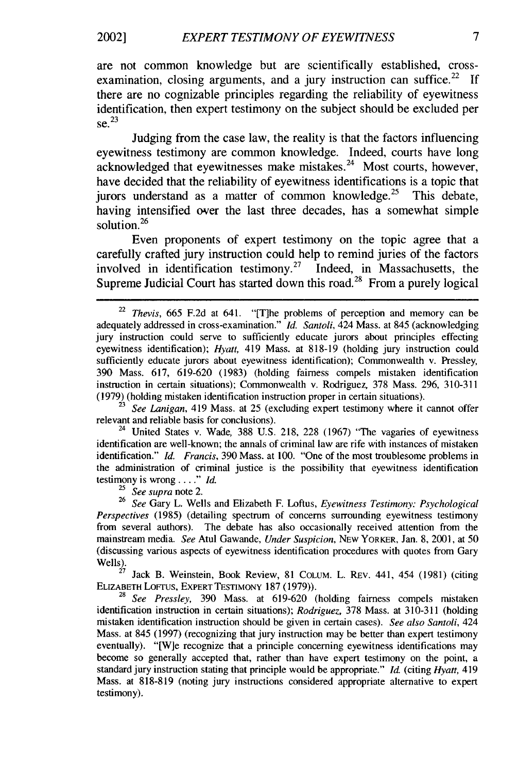### 2002] *EXPERT TESTIMONY OF EYEWITNESS 7*

are not common knowledge but are scientifically established, crossexamination, closing arguments, and a jury instruction can suffice.<sup>22</sup> If there are no cognizable principles regarding the reliability of eyewitness identification, then expert testimony on the subject should be excluded per se. 23

Judging from the case law, the reality is that the factors influencing eyewitness testimony are common knowledge. Indeed, courts have long  $acknowledged that$  evewitnesses make mistakes.<sup>24</sup> Most courts, however, have decided that the reliability of eyewitness identifications is a topic that jurors understand as a matter of common knowledge.<sup>25</sup> This debate, having intensified over the last three decades, has a somewhat simple solution.<sup>26</sup>

Even proponents of expert testimony on the topic agree that a carefully crafted jury instruction could help to remind juries of the factors involved in identification testimony.<sup>27</sup> Indeed, in Massachusetts, the Supreme Judicial Court has started down this road.<sup>28</sup> From a purely logical

**<sup>23</sup>***See Lanigan,* 419 Mass. at 25 (excluding expert testimony where it cannot offer relevant and reliable basis for conclusions).

<sup>24</sup> United States v. Wade, 388 U.S. 218, 228 (1967) "The vagaries of eyewitness identification are well-known; the annals of criminal law are rife with instances of mistaken identification." *Id. Francis,* 390 Mass. at 100. "One of the most troublesome problems in the administration of criminal justice is the possibility that eyewitness identification testimony is wrong ... " *Id.* 

<sup>25</sup>*See supra* note 2.

**<sup>26</sup>***See* Gary L. Wells and Elizabeth F. Loftus, *Eyewitness Testimony: Psychological Perspectives* (1985) (detailing spectrum of concerns surrounding eyewitness testimony from several authors). The debate has also occasionally received attention from the mainstream media. *See* Atul Gawande, *Under Suspicion,* NEW YORKER, Jan. 8, 2001, at 50 (discussing various aspects of eyewitness identification procedures with quotes from Gary Wells).

Jack B. Weinstein, Book Review, 81 COLUM. L. REV. 441, 454 (1981) (citing ELIZABETH LOFrUS, EXPERT TESTIMONY **187** (1979)).

<sup>28</sup>*See Pressley,* 390 Mass. at 619-620 (holding fairness compels mistaken identification instruction in certain situations); *Rodriguez,* 378 Mass. at 310-311 (holding mistaken identification instruction should be given in certain cases). *See also Santoli,* 424 Mass. at 845 (1997) (recognizing that jury instruction may be better than expert testimony eventually). "[W]e recognize that a principle concerning eyewitness identifications may become so generally accepted that, rather than have expert testimony on the point, a standard jury instruction stating that principle would be appropriate." *Id* (citing *Hyatt,* 419 Mass. at 818-819 (noting jury instructions considered appropriate alternative to expert testimony).

*<sup>22</sup>Thevis,* 665 F.2d at 641. "[T]he problems of perception and memory can be adequately addressed in cross-examination." *Id. Santoli,* 424 Mass. at 845 (acknowledging jury instruction could serve to sufficiently educate jurors about principles effecting eyewitness identification); *Hyatt,* 419 Mass. at 818-19 (holding jury instruction could sufficiently educate jurors about eyewitness identification); Commonwealth v. Pressley, 390 Mass. 617, 619-620 (1983) (holding fairness compels mistaken identification instruction in certain situations); Commonwealth v. Rodriguez, 378 Mass. 296, 310-311 (1979) (holding mistaken identification instruction proper in certain situations).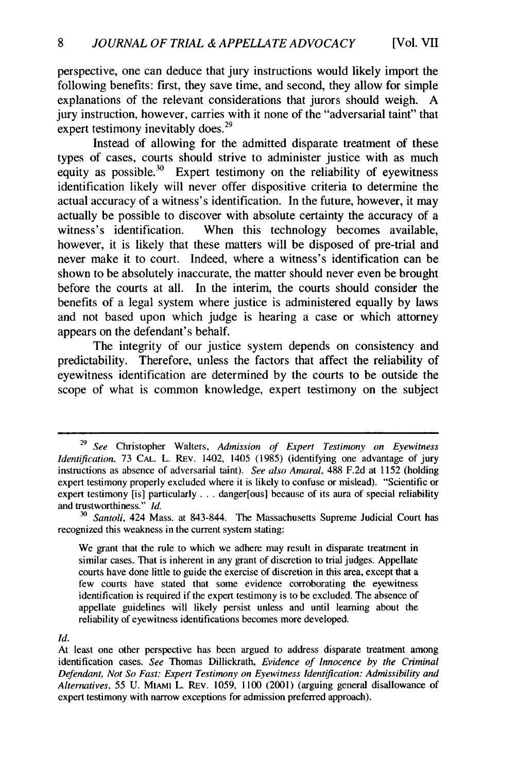perspective, one can deduce that jury instructions would likely import the following benefits: first, they save time, and second, they allow for simple explanations of the relevant considerations that jurors should weigh. A jury instruction, however, carries with it none of the "adversarial taint" that expert testimony inevitably does.<sup>29</sup>

Instead of allowing for the admitted disparate treatment of these types of cases, courts should strive to administer justice with as much equity as possible.<sup>30</sup> Expert testimony on the reliability of eyewitness identification likely will never offer dispositive criteria to determine the actual accuracy of a witness's identification. In the future, however, it may actually be possible to discover with absolute certainty the accuracy of a witness's identification. When this technology becomes available, however, it is likely that these matters will be disposed of pre-trial and never make it to court. Indeed, where a witness's identification can be shown to be absolutely inaccurate, the matter should never even be brought before the courts at all. In the interim, the courts should consider the benefits of a legal system where justice is administered equally by laws and not based upon which judge is hearing a case or which attorney appears on the defendant's behalf.

The integrity of our justice system depends on consistency and predictability. Therefore, unless the factors that affect the reliability of eyewitness identification are determined by the courts to be outside the scope of what is common knowledge, expert testimony on the subject

*Id.*

<sup>29</sup> *See* Christopher Walters, *Admission of Expert Testimony on Eyewitness Identification,* 73 **CAL.** L. REv. 1402, 1405 (1985) (identifying one advantage of jury instructions as absence of adversarial taint). *See also Amaral,* 488 F.2d at 1152 (holding expert testimony properly excluded where it is likely to confuse or mislead). "Scientific or expert testimony [is] particularly . . . danger [ous] because of its aura of special reliability and trustworthiness." *Id.*

*<sup>30</sup>Santoli,* 424 Mass. at 843-844. The Massachusetts Supreme Judicial Court has recognized this weakness in the current system stating:

We grant that the rule to which we adhere may result in disparate treatment in similar cases. That is inherent in any grant of discretion to trial judges. Appellate courts have done little to guide the exercise of discretion in this area, except that a few courts have stated that some evidence corroborating the eyewitness identification is required if the expert testimony is to be excluded. The absence of appellate guidelines will likely persist unless and until learning about the reliability of eyewitness identifications becomes more developed.

At least one other perspective has been argued to address disparate treatment among identification cases. *See* Thomas Dillickrath, *Evidence of Innocence by the Criminal Defendant, Not So Fast: Expert Testimony on Eyewitness Identification: Admissibility and Alternatives,* 55 U. MIAMI L. REV. 1059, 1100 (2001) (arguing general disallowance of expert testimony with narrow exceptions for admission preferred approach).